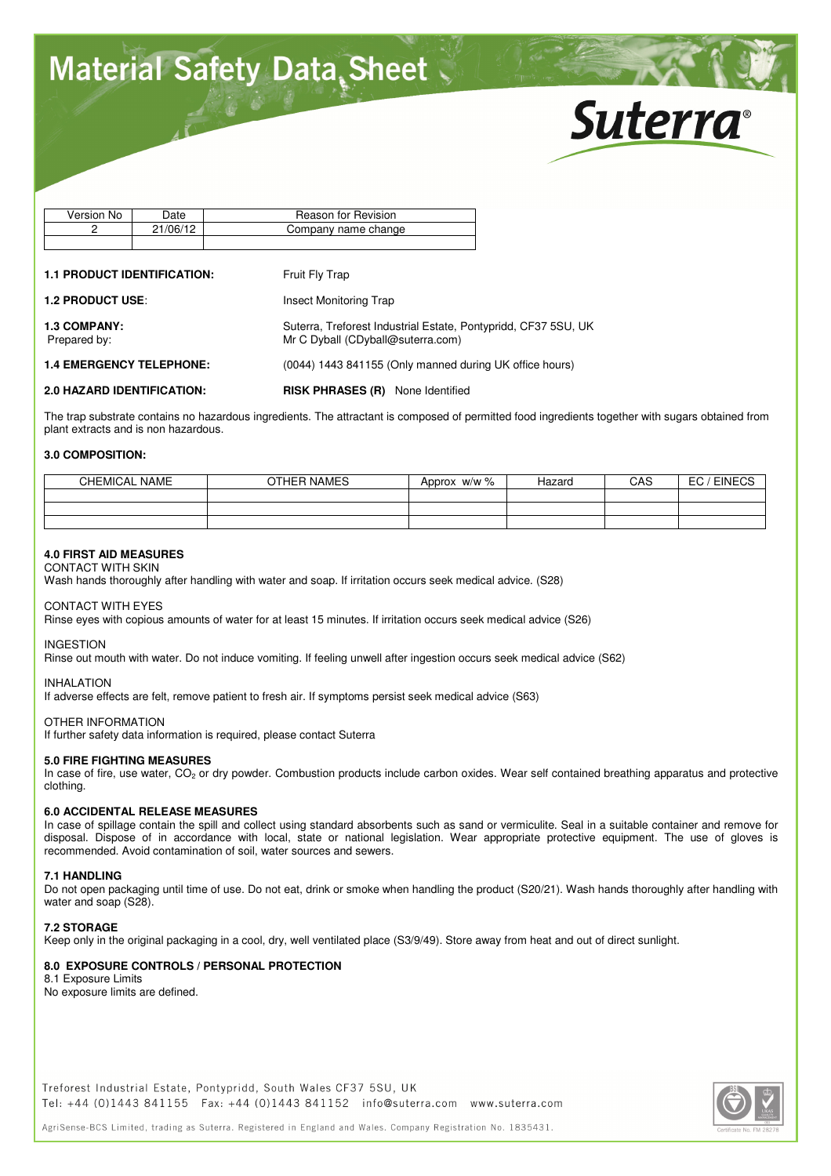# **Material Safety Data Sheet**



| Version No | Date     | Reason for Revision |
|------------|----------|---------------------|
|            | 21/06/12 | Company name change |
|            |          |                     |

#### **1.1 PRODUCT IDENTIFICATION:** Fruit Fly Trap

**1.2 PRODUCT USE:** Insect Monitoring Trap **1.3 COMPANY:** Suterra, Treforest Industrial Estate, Pontypridd, CF37 5SU, UK Prepared by: Mr C Dyball (CDyball@suterra.com) **1.4 EMERGENCY TELEPHONE:** (0044) 1443 841155 (Only manned during UK office hours) **2.0 HAZARD IDENTIFICATION: RISK PHRASES (R)** None Identified

The trap substrate contains no hazardous ingredients. The attractant is composed of permitted food ingredients together with sugars obtained from plant extracts and is non hazardous.

## **3.0 COMPOSITION:**

| <b>CHEMICAL NAME</b> | OTHER NAMES | w/w %<br>Approx | Hazard | CAS | <b>EINECS</b><br>$-\sim$<br>cu |
|----------------------|-------------|-----------------|--------|-----|--------------------------------|
|                      |             |                 |        |     |                                |
|                      |             |                 |        |     |                                |
|                      |             |                 |        |     |                                |

## **4.0 FIRST AID MEASURES**

CONTACT WITH SKIN Wash hands thoroughly after handling with water and soap. If irritation occurs seek medical advice. (S28)

CONTACT WITH EYES

Rinse eyes with copious amounts of water for at least 15 minutes. If irritation occurs seek medical advice (S26)

INGESTION

Rinse out mouth with water. Do not induce vomiting. If feeling unwell after ingestion occurs seek medical advice (S62)

**INHAI ATION** 

If adverse effects are felt, remove patient to fresh air. If symptoms persist seek medical advice (S63)

#### OTHER INFORMATION

If further safety data information is required, please contact Suterra

## **5.0 FIRE FIGHTING MEASURES**

In case of fire, use water, CO<sub>2</sub> or dry powder. Combustion products include carbon oxides. Wear self contained breathing apparatus and protective clothing.

#### **6.0 ACCIDENTAL RELEASE MEASURES**

In case of spillage contain the spill and collect using standard absorbents such as sand or vermiculite. Seal in a suitable container and remove for disposal. Dispose of in accordance with local, state or national legislation. Wear appropriate protective equipment. The use of gloves is recommended. Avoid contamination of soil, water sources and sewers.

#### **7.1 HANDLING**

Do not open packaging until time of use. Do not eat, drink or smoke when handling the product (S20/21). Wash hands thoroughly after handling with water and soap (S28).

#### **7.2 STORAGE**

Keep only in the original packaging in a cool, dry, well ventilated place (S3/9/49). Store away from heat and out of direct sunlight.

# **8.0 EXPOSURE CONTROLS / PERSONAL PROTECTION**

8.1 Exposure Limits

No exposure limits are defined.

Treforest Industrial Estate, Pontypridd, South Wales CF37 5SU, UK Tel: +44 (0)1443 841155 Fax: +44 (0)1443 841152 info@suterra.com www.suterra.com

AgriSense-BCS Limited, trading as Suterra, Registered in England and Wales, Company Registration No. 1835431.